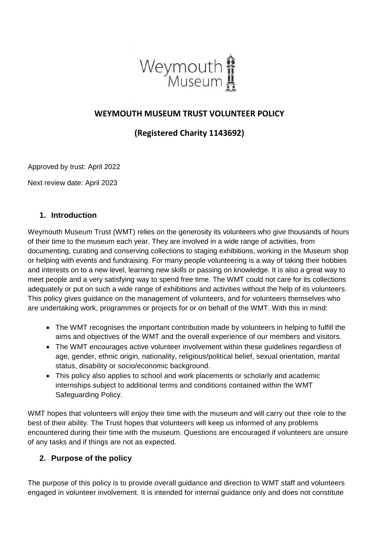

### **WEYMOUTH MUSEUM TRUST VOLUNTEER POLICY**

## **(Registered Charity 1143692)**

Approved by trust: April 2022

Next review date: April 2023

#### **1. Introduction**

Weymouth Museum Trust (WMT) relies on the generosity its volunteers who give thousands of hours of their time to the museum each year. They are involved in a wide range of activities, from documenting, curating and conserving collections to staging exhibitions, working in the Museum shop or helping with events and fundraising. For many people volunteering is a way of taking their hobbies and interests on to a new level, learning new skills or passing on knowledge. It is also a great way to meet people and a very satisfying way to spend free time. The WMT could not care for its collections adequately or put on such a wide range of exhibitions and activities without the help of its volunteers. This policy gives guidance on the management of volunteers, and for volunteers themselves who are undertaking work, programmes or projects for or on behalf of the WMT. With this in mind:

- The WMT recognises the important contribution made by volunteers in helping to fulfill the aims and objectives of the WMT and the overall experience of our members and visitors.
- The WMT encourages active volunteer involvement within these guidelines regardless of age, gender, ethnic origin, nationality, religious/political belief, sexual orientation, marital status, disability or socio/economic background.
- This policy also applies to school and work placements or scholarly and academic internships subject to additional terms and conditions contained within the WMT Safeguarding Policy.

WMT hopes that volunteers will enjoy their time with the museum and will carry out their role to the best of their ability. The Trust hopes that volunteers will keep us informed of any problems encountered during their time with the museum. Questions are encouraged if volunteers are unsure of any tasks and if things are not as expected.

### **2. Purpose of the policy**

The purpose of this policy is to provide overall guidance and direction to WMT staff and volunteers engaged in volunteer involvement. It is intended for internal guidance only and does not constitute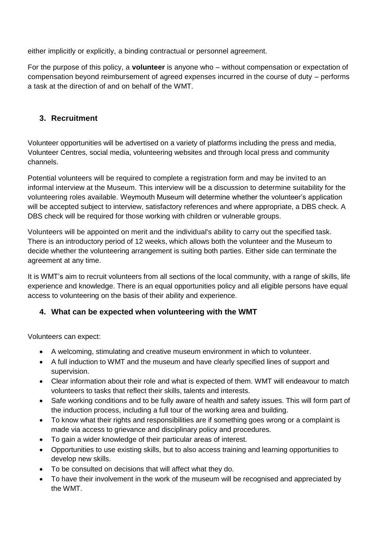either implicitly or explicitly, a binding contractual or personnel agreement.

For the purpose of this policy, a **volunteer** is anyone who – without compensation or expectation of compensation beyond reimbursement of agreed expenses incurred in the course of duty – performs a task at the direction of and on behalf of the WMT.

### **3. Recruitment**

Volunteer opportunities will be advertised on a variety of platforms including the press and media, Volunteer Centres, social media, volunteering websites and through local press and community channels.

Potential volunteers will be required to complete a registration form and may be invited to an informal interview at the Museum. This interview will be a discussion to determine suitability for the volunteering roles available. Weymouth Museum will determine whether the volunteer's application will be accepted subject to interview, satisfactory references and where appropriate, a DBS check. A DBS check will be required for those working with children or vulnerable groups.

Volunteers will be appointed on merit and the individual's ability to carry out the specified task. There is an introductory period of 12 weeks, which allows both the volunteer and the Museum to decide whether the volunteering arrangement is suiting both parties. Either side can terminate the agreement at any time.

It is WMT's aim to recruit volunteers from all sections of the local community, with a range of skills, life experience and knowledge. There is an equal opportunities policy and all eligible persons have equal access to volunteering on the basis of their ability and experience.

### **4. What can be expected when volunteering with the WMT**

Volunteers can expect:

- A welcoming, stimulating and creative museum environment in which to volunteer.
- A full induction to WMT and the museum and have clearly specified lines of support and supervision.
- Clear information about their role and what is expected of them. WMT will endeavour to match volunteers to tasks that reflect their skills, talents and interests.
- Safe working conditions and to be fully aware of health and safety issues. This will form part of the induction process, including a full tour of the working area and building.
- To know what their rights and responsibilities are if something goes wrong or a complaint is made via access to grievance and disciplinary policy and procedures.
- To gain a wider knowledge of their particular areas of interest.
- Opportunities to use existing skills, but to also access training and learning opportunities to develop new skills.
- To be consulted on decisions that will affect what they do.
- To have their involvement in the work of the museum will be recognised and appreciated by the WMT.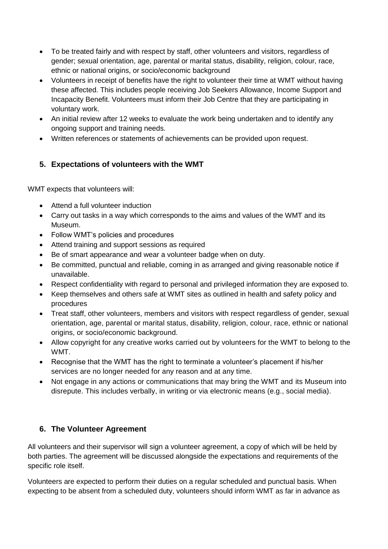- To be treated fairly and with respect by staff, other volunteers and visitors, regardless of gender; sexual orientation, age, parental or marital status, disability, religion, colour, race, ethnic or national origins, or socio/economic background
- Volunteers in receipt of benefits have the right to volunteer their time at WMT without having these affected. This includes people receiving Job Seekers Allowance, Income Support and Incapacity Benefit. Volunteers must inform their Job Centre that they are participating in voluntary work.
- An initial review after 12 weeks to evaluate the work being undertaken and to identify any ongoing support and training needs.
- Written references or statements of achievements can be provided upon request.

# **5. Expectations of volunteers with the WMT**

WMT expects that volunteers will:

- Attend a full volunteer induction
- Carry out tasks in a way which corresponds to the aims and values of the WMT and its Museum.
- Follow WMT's policies and procedures
- Attend training and support sessions as required
- Be of smart appearance and wear a volunteer badge when on duty.
- Be committed, punctual and reliable, coming in as arranged and giving reasonable notice if unavailable.
- Respect confidentiality with regard to personal and privileged information they are exposed to.
- Keep themselves and others safe at WMT sites as outlined in health and safety policy and procedures
- Treat staff, other volunteers, members and visitors with respect regardless of gender, sexual orientation, age, parental or marital status, disability, religion, colour, race, ethnic or national origins, or socio/economic background.
- Allow copyright for any creative works carried out by volunteers for the WMT to belong to the WMT.
- Recognise that the WMT has the right to terminate a volunteer's placement if his/her services are no longer needed for any reason and at any time.
- Not engage in any actions or communications that may bring the WMT and its Museum into disrepute. This includes verbally, in writing or via electronic means (e.g., social media).

## **6. The Volunteer Agreement**

All volunteers and their supervisor will sign a volunteer agreement, a copy of which will be held by both parties. The agreement will be discussed alongside the expectations and requirements of the specific role itself.

Volunteers are expected to perform their duties on a regular scheduled and punctual basis. When expecting to be absent from a scheduled duty, volunteers should inform WMT as far in advance as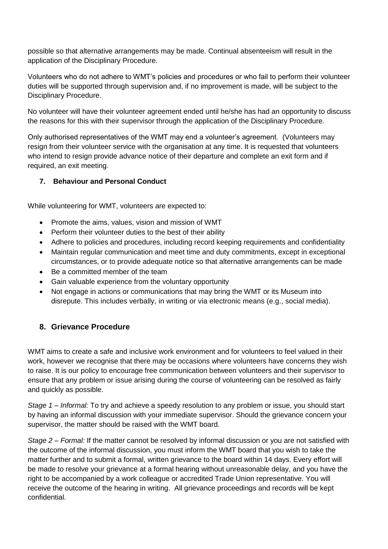possible so that alternative arrangements may be made. Continual absenteeism will result in the application of the Disciplinary Procedure.

Volunteers who do not adhere to WMT's policies and procedures or who fail to perform their volunteer duties will be supported through supervision and, if no improvement is made, will be subject to the Disciplinary Procedure.

No volunteer will have their volunteer agreement ended until he/she has had an opportunity to discuss the reasons for this with their supervisor through the application of the Disciplinary Procedure.

Only authorised representatives of the WMT may end a volunteer's agreement. (Volunteers may resign from their volunteer service with the organisation at any time. It is requested that volunteers who intend to resign provide advance notice of their departure and complete an exit form and if required, an exit meeting.

#### **7. Behaviour and Personal Conduct**

While volunteering for WMT, volunteers are expected to:

- Promote the aims, values, vision and mission of WMT
- Perform their volunteer duties to the best of their ability
- Adhere to policies and procedures, including record keeping requirements and confidentiality
- Maintain regular communication and meet time and duty commitments, except in exceptional circumstances, or to provide adequate notice so that alternative arrangements can be made
- Be a committed member of the team
- Gain valuable experience from the voluntary opportunity
- Not engage in actions or communications that may bring the WMT or its Museum into disrepute. This includes verbally, in writing or via electronic means (e.g., social media).

## **8. Grievance Procedure**

WMT aims to create a safe and inclusive work environment and for volunteers to feel valued in their work, however we recognise that there may be occasions where volunteers have concerns they wish to raise. It is our policy to encourage free communication between volunteers and their supervisor to ensure that any problem or issue arising during the course of volunteering can be resolved as fairly and quickly as possible.

*Stage 1 – Informal:* To try and achieve a speedy resolution to any problem or issue, you should start by having an informal discussion with your immediate supervisor. Should the grievance concern your supervisor, the matter should be raised with the WMT board.

*Stage 2 – Formal:* If the matter cannot be resolved by informal discussion or you are not satisfied with the outcome of the informal discussion, you must inform the WMT board that you wish to take the matter further and to submit a formal, written grievance to the board within 14 days. Every effort will be made to resolve your grievance at a formal hearing without unreasonable delay, and you have the right to be accompanied by a work colleague or accredited Trade Union representative. You will receive the outcome of the hearing in writing. All grievance proceedings and records will be kept confidential.